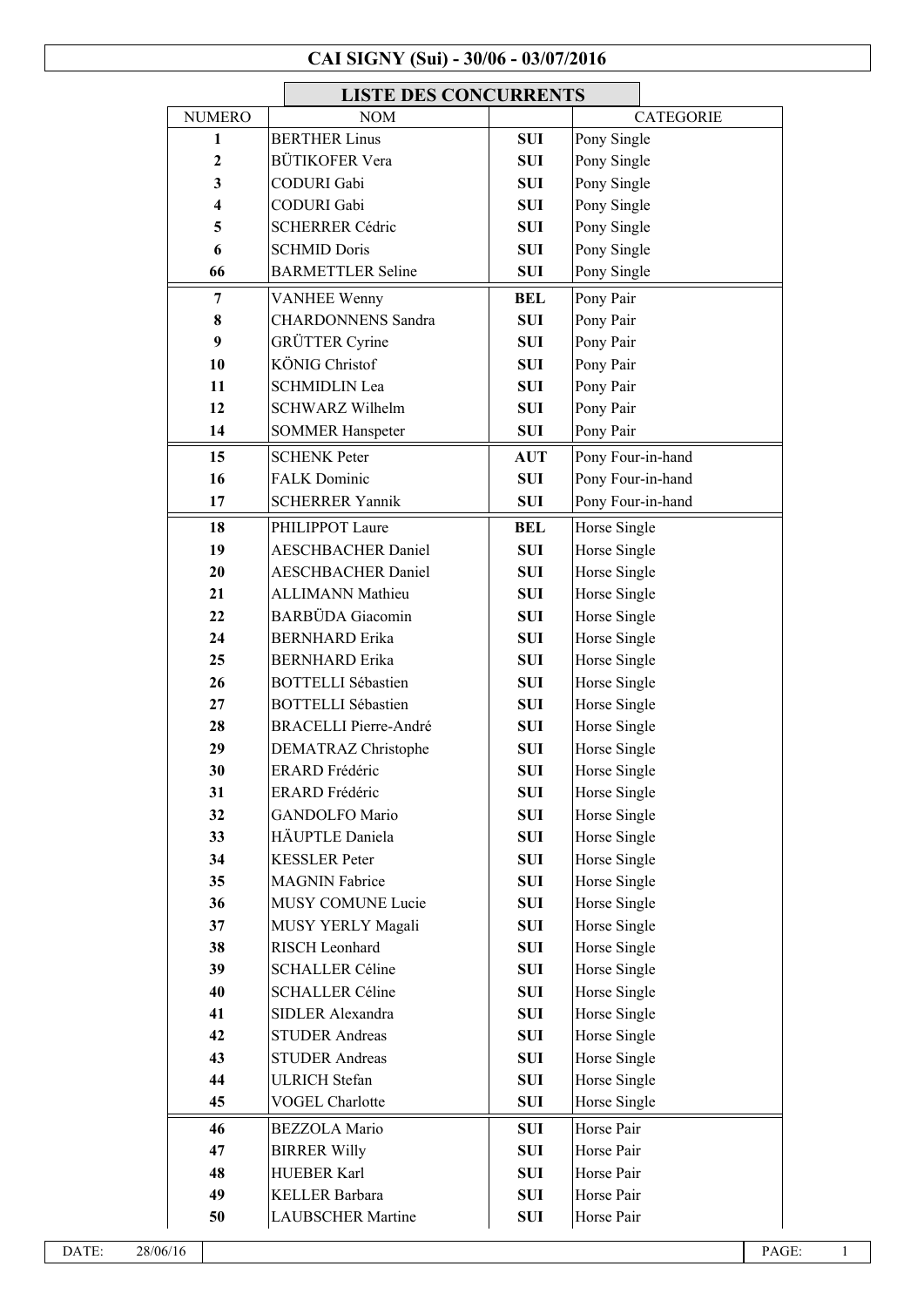## **CAI SIGNY (Sui) - 30/06 - 03/07/2016**

|                  | <b>LISTE DES CONCURRENTS</b> |            |                   |  |  |
|------------------|------------------------------|------------|-------------------|--|--|
| <b>NUMERO</b>    | <b>NOM</b>                   |            | <b>CATEGORIE</b>  |  |  |
| 1                | <b>BERTHER Linus</b>         | SUI        | Pony Single       |  |  |
| $\boldsymbol{2}$ | <b>BÜTIKOFER Vera</b>        | <b>SUI</b> | Pony Single       |  |  |
| 3                | <b>CODURI</b> Gabi           | <b>SUI</b> | Pony Single       |  |  |
| 4                | <b>CODURI</b> Gabi           | SUI        | Pony Single       |  |  |
| 5                | <b>SCHERRER Cédric</b>       | <b>SUI</b> | Pony Single       |  |  |
| 6                | <b>SCHMID Doris</b>          | <b>SUI</b> | Pony Single       |  |  |
| 66               | <b>BARMETTLER Seline</b>     | <b>SUI</b> | Pony Single       |  |  |
| 7                | <b>VANHEE Wenny</b>          | <b>BEL</b> | Pony Pair         |  |  |
| 8                | <b>CHARDONNENS</b> Sandra    | <b>SUI</b> | Pony Pair         |  |  |
| 9                | <b>GRÜTTER Cyrine</b>        | <b>SUI</b> | Pony Pair         |  |  |
| 10               | <b>KÖNIG Christof</b>        | SUI        | Pony Pair         |  |  |
| 11               | <b>SCHMIDLIN Lea</b>         | <b>SUI</b> | Pony Pair         |  |  |
| 12               | <b>SCHWARZ Wilhelm</b>       | SUI        | Pony Pair         |  |  |
| 14               | <b>SOMMER Hanspeter</b>      | <b>SUI</b> | Pony Pair         |  |  |
| 15               | <b>SCHENK Peter</b>          | <b>AUT</b> | Pony Four-in-hand |  |  |
| 16               | <b>FALK Dominic</b>          | <b>SUI</b> | Pony Four-in-hand |  |  |
| 17               | <b>SCHERRER Yannik</b>       | <b>SUI</b> | Pony Four-in-hand |  |  |
| 18               | PHILIPPOT Laure              | BEL        | Horse Single      |  |  |
| 19               | <b>AESCHBACHER Daniel</b>    | <b>SUI</b> | Horse Single      |  |  |
| 20               | <b>AESCHBACHER Daniel</b>    | <b>SUI</b> | Horse Single      |  |  |
| 21               | <b>ALLIMANN Mathieu</b>      | <b>SUI</b> | Horse Single      |  |  |
| 22               | <b>BARBÜDA</b> Giacomin      | <b>SUI</b> | Horse Single      |  |  |
| 24               | <b>BERNHARD</b> Erika        | <b>SUI</b> | Horse Single      |  |  |
| 25               | <b>BERNHARD</b> Erika        | SUI        | Horse Single      |  |  |
| 26               | <b>BOTTELLI Sébastien</b>    | <b>SUI</b> | Horse Single      |  |  |
| 27               | <b>BOTTELLI Sébastien</b>    | <b>SUI</b> | Horse Single      |  |  |
| 28               | <b>BRACELLI Pierre-André</b> | SUI        | Horse Single      |  |  |
| 29               | <b>DEMATRAZ Christophe</b>   | <b>SUI</b> | Horse Single      |  |  |
| 30               | <b>ERARD</b> Frédéric        | <b>SUI</b> | Horse Single      |  |  |
| 31               | <b>ERARD</b> Frédéric        | <b>SUI</b> | Horse Single      |  |  |
| 32               | <b>GANDOLFO Mario</b>        | <b>SUI</b> | Horse Single      |  |  |
| 33               | HÄUPTLE Daniela              | SUI        | Horse Single      |  |  |
| 34               | <b>KESSLER</b> Peter         | <b>SUI</b> | Horse Single      |  |  |
| 35               | <b>MAGNIN Fabrice</b>        | <b>SUI</b> | Horse Single      |  |  |
| 36               | MUSY COMUNE Lucie            | SUI        | Horse Single      |  |  |
| 37               | MUSY YERLY Magali            | <b>SUI</b> | Horse Single      |  |  |
| 38               | RISCH Leonhard               | <b>SUI</b> | Horse Single      |  |  |
| 39               | <b>SCHALLER Céline</b>       | <b>SUI</b> | Horse Single      |  |  |
| 40               | <b>SCHALLER Céline</b>       | <b>SUI</b> | Horse Single      |  |  |
| 41               | SIDLER Alexandra             | <b>SUI</b> | Horse Single      |  |  |
| 42               | <b>STUDER Andreas</b>        | <b>SUI</b> | Horse Single      |  |  |
| 43               | <b>STUDER Andreas</b>        | <b>SUI</b> | Horse Single      |  |  |
| 44               | <b>ULRICH Stefan</b>         | SUI        | Horse Single      |  |  |
| 45               | <b>VOGEL Charlotte</b>       | <b>SUI</b> | Horse Single      |  |  |
| 46               | <b>BEZZOLA Mario</b>         | <b>SUI</b> | Horse Pair        |  |  |
| 47               | <b>BIRRER Willy</b>          | <b>SUI</b> | Horse Pair        |  |  |
| 48               | <b>HUEBER Karl</b>           | SUI        | Horse Pair        |  |  |
| 49               | <b>KELLER Barbara</b>        | <b>SUI</b> | Horse Pair        |  |  |
| 50               | <b>LAUBSCHER Martine</b>     | <b>SUI</b> | Horse Pair        |  |  |